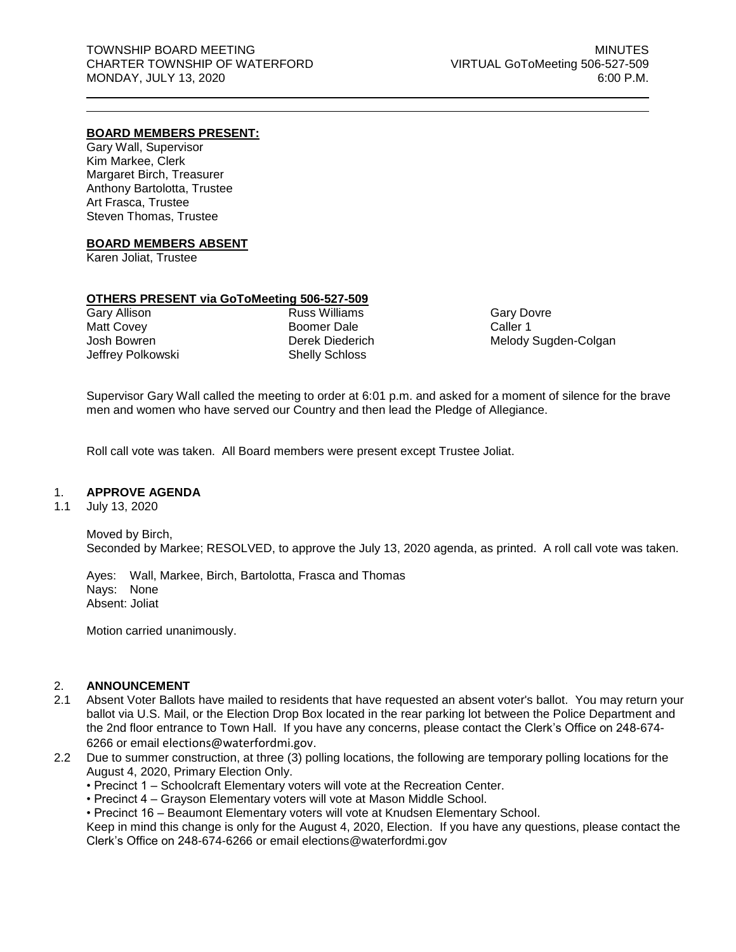## **BOARD MEMBERS PRESENT:**

Gary Wall, Supervisor Kim Markee, Clerk Margaret Birch, Treasurer Anthony Bartolotta, Trustee Art Frasca, Trustee Steven Thomas, Trustee

## **BOARD MEMBERS ABSENT**

Karen Joliat, Trustee

# **OTHERS PRESENT via GoToMeeting 506-527-509**

Gary Allison Matt Covey Josh Bowren Jeffrey Polkowski Russ Williams Boomer Dale Derek Diederich Shelly Schloss

Gary Dovre Caller 1 Melody Sugden-Colgan

Supervisor Gary Wall called the meeting to order at 6:01 p.m. and asked for a moment of silence for the brave men and women who have served our Country and then lead the Pledge of Allegiance.

Roll call vote was taken. All Board members were present except Trustee Joliat.

## 1. **APPROVE AGENDA**

1.1 July 13, 2020

Moved by Birch, Seconded by Markee; RESOLVED, to approve the July 13, 2020 agenda, as printed. A roll call vote was taken.

Ayes: Wall, Markee, Birch, Bartolotta, Frasca and Thomas Nays: None Absent: Joliat

Motion carried unanimously.

## 2. **ANNOUNCEMENT**

- 2.1 Absent Voter Ballots have mailed to residents that have requested an absent voter's ballot. You may return your ballot via U.S. Mail, or the Election Drop Box located in the rear parking lot between the Police Department and the 2nd floor entrance to Town Hall. If you have any concerns, please contact the Clerk's Office on 248-674- 6266 or email [elections@waterfordmi.gov](mailto:elections@waterfordmi.gov).
- 2.2 Due to summer construction, at three (3) polling locations, the following are temporary polling locations for the August 4, 2020, Primary Election Only.
	- Precinct 1 Schoolcraft Elementary voters will vote at the Recreation Center.
	- Precinct 4 Grayson Elementary voters will vote at Mason Middle School.

• Precinct 16 – Beaumont Elementary voters will vote at Knudsen Elementary School.

Keep in mind this change is only for the August 4, 2020, Election. If you have any questions, please contact the Clerk's Office on 248-674-6266 or email elections@waterfordmi.gov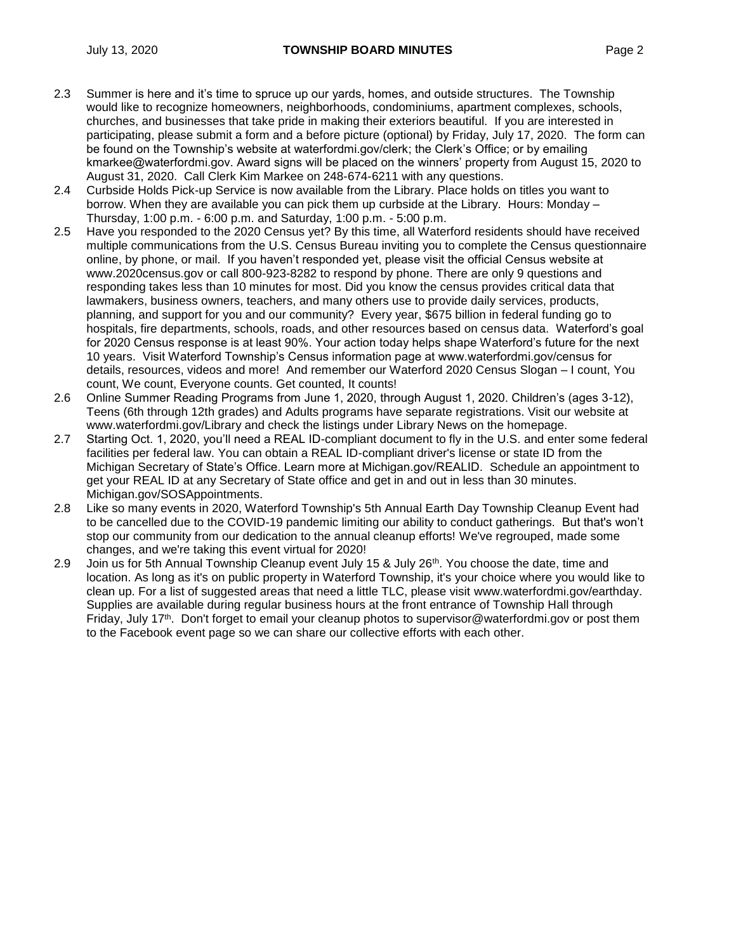- 2.3 Summer is here and it's time to spruce up our yards, homes, and outside structures. The Township would like to recognize homeowners, neighborhoods, condominiums, apartment complexes, schools, churches, and businesses that take pride in making their exteriors beautiful. If you are interested in participating, please submit a form and a before picture (optional) by Friday, July 17, 2020. The form can be found on the Township's website at waterfordmi.gov/clerk; the Clerk's Office; or by emailing kmarkee@waterfordmi.gov. Award signs will be placed on the winners' property from August 15, 2020 to August 31, 2020. Call Clerk Kim Markee on 248-674-6211 with any questions.
- 2.4 Curbside Holds Pick-up Service is now available from the Library. Place holds on titles you want to borrow. When they are available you can pick them up curbside at the Library. Hours: Monday – Thursday, 1:00 p.m. - 6:00 p.m. and Saturday, 1:00 p.m. - 5:00 p.m.
- 2.5 Have you responded to the 2020 Census yet? By this time, all Waterford residents should have received multiple communications from the U.S. Census Bureau inviting you to complete the Census questionnaire online, by phone, or mail. If you haven't responded yet, please visit the official Census website at www.2020census.gov or call 800-923-8282 to respond by phone. There are only 9 questions and responding takes less than 10 minutes for most. Did you know the census provides critical data that lawmakers, business owners, teachers, and many others use to provide daily services, products, planning, and support for you and our community? Every year, \$675 billion in federal funding go to hospitals, fire departments, schools, roads, and other resources based on census data. Waterford's goal for 2020 Census response is at least 90%. Your action today helps shape Waterford's future for the next 10 years. Visit Waterford Township's Census information page at www.waterfordmi.gov/census for details, resources, videos and more! And remember our Waterford 2020 Census Slogan – I count, You count, We count, Everyone counts. Get counted, It counts!
- 2.6 Online Summer Reading Programs from June 1, 2020, through August 1, 2020. Children's (ages 3-12), Teens (6th through 12th grades) and Adults programs have separate registrations. Visit our website at www.waterfordmi.gov/Library and check the listings under Library News on the homepage.
- 2.7 Starting Oct. 1, 2020, you'll need a REAL ID-compliant document to fly in the U.S. and enter some federal facilities per federal law. You can obtain a REAL ID-compliant driver's license or state ID from the Michigan Secretary of State's Office. Learn more at Michigan.gov/REALID. Schedule an appointment to get your REAL ID at any Secretary of State office and get in and out in less than 30 minutes. Michigan.gov/SOSAppointments.
- 2.8 Like so many events in 2020, Waterford Township's 5th Annual Earth Day Township Cleanup Event had to be cancelled due to the COVID-19 pandemic limiting our ability to conduct gatherings. But that's won't stop our community from our dedication to the annual cleanup efforts! We've regrouped, made some changes, and we're taking this event virtual for 2020!
- 2.9 Join us for 5th Annual Township Cleanup event July 15 & July  $26<sup>th</sup>$ . You choose the date, time and location. As long as it's on public property in Waterford Township, it's your choice where you would like to clean up. For a list of suggested areas that need a little TLC, please visit [www.waterfordmi.gov/earthday.](http://www.waterfordmi.gov/earthday) Supplies are available during regular business hours at the front entrance of Township Hall through Friday, July 17<sup>th</sup>. Don't forget to email your cleanup photos to supervisor@waterfordmi.gov or post them to the Facebook event page so we can share our collective efforts with each other.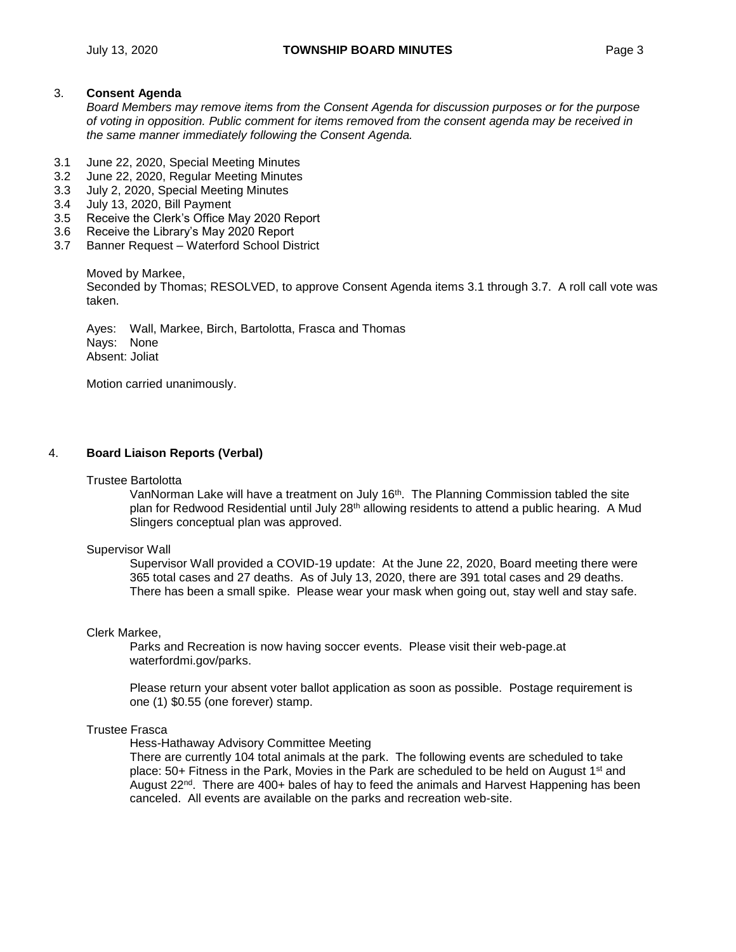## 3. **Consent Agenda**

*Board Members may remove items from the Consent Agenda for discussion purposes or for the purpose of voting in opposition. Public comment for items removed from the consent agenda may be received in the same manner immediately following the Consent Agenda.*

- 3.1 June 22, 2020, Special Meeting Minutes
- 3.2 June 22, 2020, Regular Meeting Minutes
- 3.3 July 2, 2020, Special Meeting Minutes
- 3.4 July 13, 2020, Bill Payment
- 3.5 Receive the Clerk's Office May 2020 Report
- 3.6 Receive the Library's May 2020 Report
- 3.7 Banner Request Waterford School District

Moved by Markee,

Seconded by Thomas; RESOLVED, to approve Consent Agenda items 3.1 through 3.7. A roll call vote was taken.

Ayes: Wall, Markee, Birch, Bartolotta, Frasca and Thomas Nays: None Absent: Joliat

Motion carried unanimously.

## 4. **Board Liaison Reports (Verbal)**

#### Trustee Bartolotta

VanNorman Lake will have a treatment on July 16th. The Planning Commission tabled the site plan for Redwood Residential until July 28<sup>th</sup> allowing residents to attend a public hearing. A Mud Slingers conceptual plan was approved.

## Supervisor Wall

Supervisor Wall provided a COVID-19 update: At the June 22, 2020, Board meeting there were 365 total cases and 27 deaths. As of July 13, 2020, there are 391 total cases and 29 deaths. There has been a small spike. Please wear your mask when going out, stay well and stay safe.

#### Clerk Markee,

Parks and Recreation is now having soccer events. Please visit their web-page.at waterfordmi.gov/parks.

Please return your absent voter ballot application as soon as possible. Postage requirement is one (1) \$0.55 (one forever) stamp.

#### Trustee Frasca

Hess-Hathaway Advisory Committee Meeting

There are currently 104 total animals at the park. The following events are scheduled to take place:  $50+$  Fitness in the Park, Movies in the Park are scheduled to be held on August 1<sup>st</sup> and August 22<sup>nd</sup>. There are 400+ bales of hay to feed the animals and Harvest Happening has been canceled. All events are available on the parks and recreation web-site.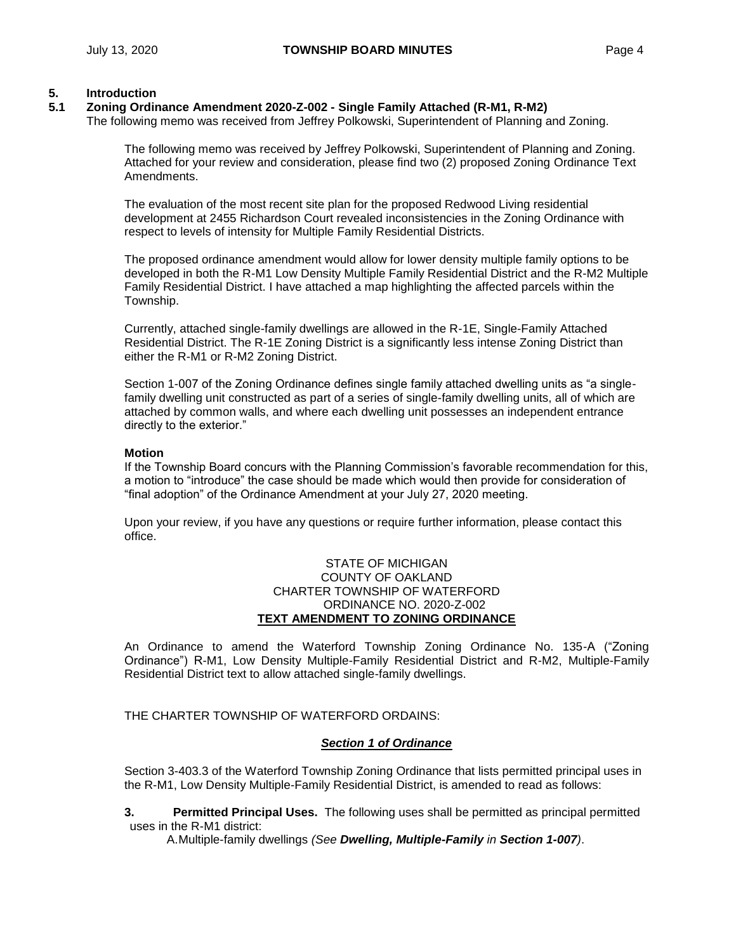## **5. Introduction**

# **5.1 Zoning Ordinance Amendment 2020-Z-002 - Single Family Attached (R-M1, R-M2)**

The following memo was received from Jeffrey Polkowski, Superintendent of Planning and Zoning.

The following memo was received by Jeffrey Polkowski, Superintendent of Planning and Zoning. Attached for your review and consideration, please find two (2) proposed Zoning Ordinance Text Amendments.

The evaluation of the most recent site plan for the proposed Redwood Living residential development at 2455 Richardson Court revealed inconsistencies in the Zoning Ordinance with respect to levels of intensity for Multiple Family Residential Districts.

The proposed ordinance amendment would allow for lower density multiple family options to be developed in both the R-M1 Low Density Multiple Family Residential District and the R-M2 Multiple Family Residential District. I have attached a map highlighting the affected parcels within the Township.

Currently, attached single-family dwellings are allowed in the R-1E, Single-Family Attached Residential District. The R-1E Zoning District is a significantly less intense Zoning District than either the R-M1 or R-M2 Zoning District.

Section 1-007 of the Zoning Ordinance defines single family attached dwelling units as "a singlefamily dwelling unit constructed as part of a series of single-family dwelling units, all of which are attached by common walls, and where each dwelling unit possesses an independent entrance directly to the exterior."

## **Motion**

If the Township Board concurs with the Planning Commission's favorable recommendation for this, a motion to "introduce" the case should be made which would then provide for consideration of "final adoption" of the Ordinance Amendment at your July 27, 2020 meeting.

Upon your review, if you have any questions or require further information, please contact this office.

## STATE OF MICHIGAN COUNTY OF OAKLAND CHARTER TOWNSHIP OF WATERFORD ORDINANCE NO. 2020-Z-002 **TEXT AMENDMENT TO ZONING ORDINANCE**

An Ordinance to amend the Waterford Township Zoning Ordinance No. 135-A ("Zoning Ordinance") R-M1, Low Density Multiple-Family Residential District and R-M2, Multiple-Family Residential District text to allow attached single-family dwellings.

THE CHARTER TOWNSHIP OF WATERFORD ORDAINS:

## *Section 1 of Ordinance*

Section 3-403.3 of the Waterford Township Zoning Ordinance that lists permitted principal uses in the R-M1, Low Density Multiple-Family Residential District, is amended to read as follows:

**3. Permitted Principal Uses.** The following uses shall be permitted as principal permitted uses in the R-M1 district:

A.Multiple-family dwellings *(See Dwelling, Multiple-Family in Section 1-007)*.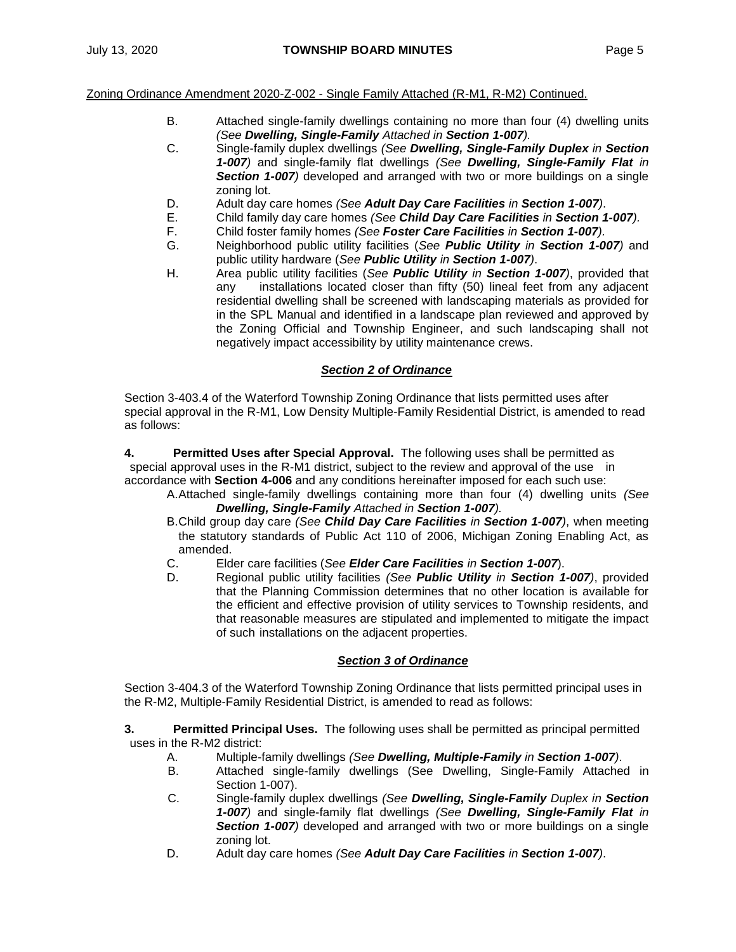#### Zoning Ordinance Amendment 2020-Z-002 - Single Family Attached (R-M1, R-M2) Continued.

- B. Attached single-family dwellings containing no more than four (4) dwelling units *(See Dwelling, Single-Family Attached in Section 1-007).*
- C. Single-family duplex dwellings *(See Dwelling, Single-Family Duplex in Section 1-007)* and single-family flat dwellings *(See Dwelling, Single-Family Flat in Section 1-007)* developed and arranged with two or more buildings on a single zoning lot.
- D. Adult day care homes *(See Adult Day Care Facilities in Section 1-007)*.
- E. Child family day care homes *(See Child Day Care Facilities in Section 1-007).*
- F. Child foster family homes *(See Foster Care Facilities in Section 1-007).*
- G. Neighborhood public utility facilities (*See Public Utility in Section 1-007)* and public utility hardware (*See Public Utility in Section 1-007)*.
- H. Area public utility facilities (*See Public Utility in Section 1-007)*, provided that any installations located closer than fifty (50) lineal feet from any adjacent residential dwelling shall be screened with landscaping materials as provided for in the SPL Manual and identified in a landscape plan reviewed and approved by the Zoning Official and Township Engineer, and such landscaping shall not negatively impact accessibility by utility maintenance crews.

# *Section 2 of Ordinance*

Section 3-403.4 of the Waterford Township Zoning Ordinance that lists permitted uses after special approval in the R-M1, Low Density Multiple-Family Residential District, is amended to read as follows:

**4. Permitted Uses after Special Approval.** The following uses shall be permitted as special approval uses in the R-M1 district, subject to the review and approval of the use in accordance with **Section 4-006** and any conditions hereinafter imposed for each such use:

- A.Attached single-family dwellings containing more than four (4) dwelling units *(See Dwelling, Single-Family Attached in Section 1-007).*
- B.Child group day care *(See Child Day Care Facilities in Section 1-007)*, when meeting the statutory standards of Public Act 110 of 2006, Michigan Zoning Enabling Act, as amended.
- C. Elder care facilities (*See Elder Care Facilities in Section 1-007*).
- D. Regional public utility facilities *(See Public Utility in Section 1-007)*, provided that the Planning Commission determines that no other location is available for the efficient and effective provision of utility services to Township residents, and that reasonable measures are stipulated and implemented to mitigate the impact of such installations on the adjacent properties.

## *Section 3 of Ordinance*

Section 3-404.3 of the Waterford Township Zoning Ordinance that lists permitted principal uses in the R-M2, Multiple-Family Residential District, is amended to read as follows:

**3. Permitted Principal Uses.** The following uses shall be permitted as principal permitted uses in the R-M2 district:

- A. Multiple-family dwellings *(See Dwelling, Multiple-Family in Section 1-007)*.
- B. Attached single-family dwellings (See Dwelling, Single-Family Attached in Section 1-007).
- C. Single-family duplex dwellings *(See Dwelling, Single-Family Duplex in Section 1-007)* and single-family flat dwellings *(See Dwelling, Single-Family Flat in Section 1-007)* developed and arranged with two or more buildings on a single zoning lot.
- D. Adult day care homes *(See Adult Day Care Facilities in Section 1-007)*.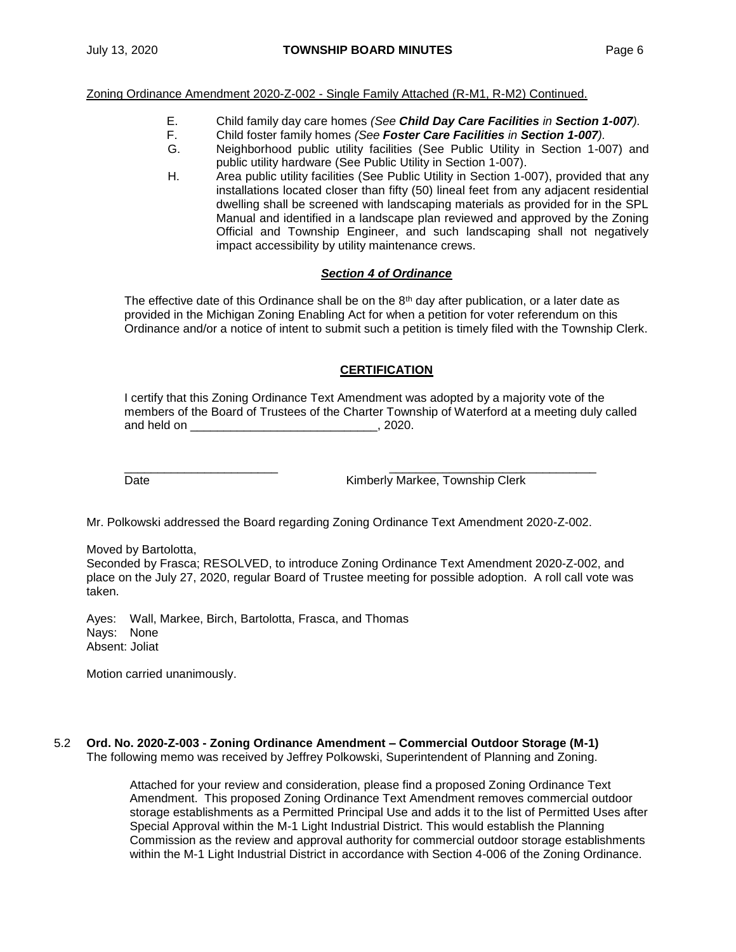Zoning Ordinance Amendment 2020-Z-002 - Single Family Attached (R-M1, R-M2) Continued.

- E. Child family day care homes *(See Child Day Care Facilities in Section 1-007).*
- F. Child foster family homes *(See Foster Care Facilities in Section 1-007).*
- G. Neighborhood public utility facilities (See Public Utility in Section 1-007) and public utility hardware (See Public Utility in Section 1-007).
- H. Area public utility facilities (See Public Utility in Section 1-007), provided that any installations located closer than fifty (50) lineal feet from any adjacent residential dwelling shall be screened with landscaping materials as provided for in the SPL Manual and identified in a landscape plan reviewed and approved by the Zoning Official and Township Engineer, and such landscaping shall not negatively impact accessibility by utility maintenance crews.

# *Section 4 of Ordinance*

The effective date of this Ordinance shall be on the  $8<sup>th</sup>$  day after publication, or a later date as provided in the Michigan Zoning Enabling Act for when a petition for voter referendum on this Ordinance and/or a notice of intent to submit such a petition is timely filed with the Township Clerk.

# **CERTIFICATION**

I certify that this Zoning Ordinance Text Amendment was adopted by a majority vote of the members of the Board of Trustees of the Charter Township of Waterford at a meeting duly called and held on \_\_\_\_\_\_\_\_\_\_\_\_\_\_\_\_\_\_\_\_\_\_\_\_\_\_\_\_\_\_\_\_, 2020.

\_\_\_\_\_\_\_\_\_\_\_\_\_\_\_\_\_\_\_\_\_\_\_ \_\_\_\_\_\_\_\_\_\_\_\_\_\_\_\_\_\_\_\_\_\_\_\_\_\_\_\_\_\_\_ Date **Date** Kimberly Markee, Township Clerk

Mr. Polkowski addressed the Board regarding Zoning Ordinance Text Amendment 2020-Z-002.

Moved by Bartolotta,

Seconded by Frasca; RESOLVED, to introduce Zoning Ordinance Text Amendment 2020-Z-002, and place on the July 27, 2020, regular Board of Trustee meeting for possible adoption. A roll call vote was taken.

Ayes: Wall, Markee, Birch, Bartolotta, Frasca, and Thomas Nays: None Absent: Joliat

Motion carried unanimously.

## 5.2 **Ord. No. 2020-Z-003 - Zoning Ordinance Amendment – Commercial Outdoor Storage (M-1)** The following memo was received by Jeffrey Polkowski, Superintendent of Planning and Zoning.

Attached for your review and consideration, please find a proposed Zoning Ordinance Text Amendment. This proposed Zoning Ordinance Text Amendment removes commercial outdoor storage establishments as a Permitted Principal Use and adds it to the list of Permitted Uses after Special Approval within the M-1 Light Industrial District. This would establish the Planning Commission as the review and approval authority for commercial outdoor storage establishments within the M-1 Light Industrial District in accordance with Section 4-006 of the Zoning Ordinance.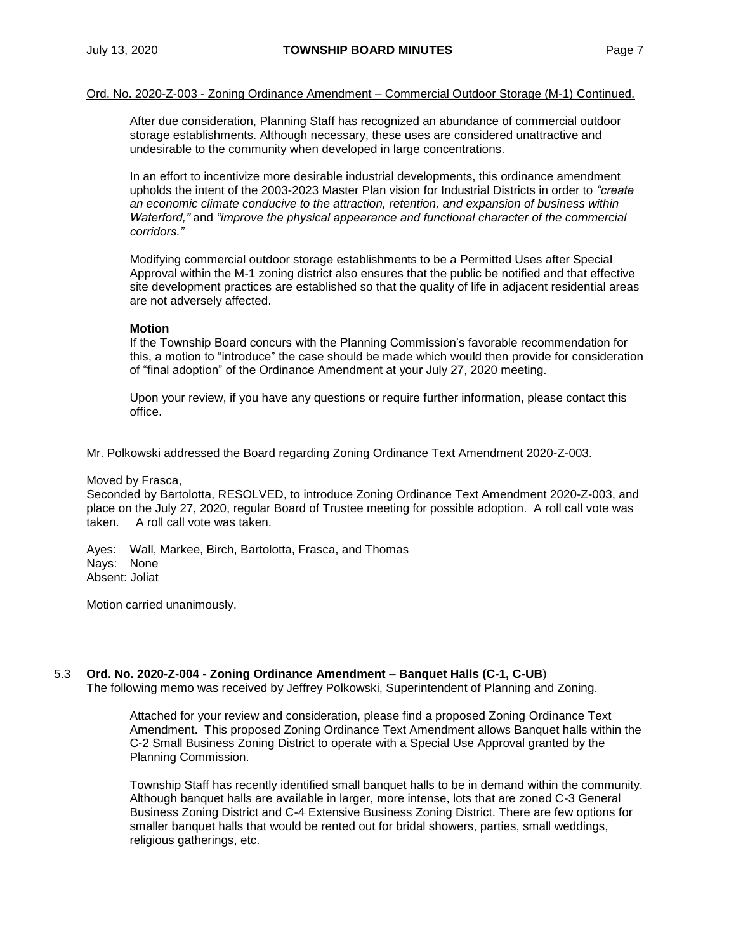#### Ord. No. 2020-Z-003 - Zoning Ordinance Amendment – Commercial Outdoor Storage (M-1) Continued.

After due consideration, Planning Staff has recognized an abundance of commercial outdoor storage establishments. Although necessary, these uses are considered unattractive and undesirable to the community when developed in large concentrations.

In an effort to incentivize more desirable industrial developments, this ordinance amendment upholds the intent of the 2003-2023 Master Plan vision for Industrial Districts in order to *"create an economic climate conducive to the attraction, retention, and expansion of business within Waterford,"* and *"improve the physical appearance and functional character of the commercial corridors."*

Modifying commercial outdoor storage establishments to be a Permitted Uses after Special Approval within the M-1 zoning district also ensures that the public be notified and that effective site development practices are established so that the quality of life in adjacent residential areas are not adversely affected.

#### **Motion**

If the Township Board concurs with the Planning Commission's favorable recommendation for this, a motion to "introduce" the case should be made which would then provide for consideration of "final adoption" of the Ordinance Amendment at your July 27, 2020 meeting.

Upon your review, if you have any questions or require further information, please contact this office.

Mr. Polkowski addressed the Board regarding Zoning Ordinance Text Amendment 2020-Z-003.

#### Moved by Frasca,

Seconded by Bartolotta, RESOLVED, to introduce Zoning Ordinance Text Amendment 2020-Z-003, and place on the July 27, 2020, regular Board of Trustee meeting for possible adoption. A roll call vote was taken. A roll call vote was taken.

Ayes: Wall, Markee, Birch, Bartolotta, Frasca, and Thomas Nays: None Absent: Joliat

Motion carried unanimously.

# 5.3 **Ord. No. 2020-Z-004 - Zoning Ordinance Amendment – Banquet Halls (C-1, C-UB**)

The following memo was received by Jeffrey Polkowski, Superintendent of Planning and Zoning.

Attached for your review and consideration, please find a proposed Zoning Ordinance Text Amendment. This proposed Zoning Ordinance Text Amendment allows Banquet halls within the C-2 Small Business Zoning District to operate with a Special Use Approval granted by the Planning Commission.

Township Staff has recently identified small banquet halls to be in demand within the community. Although banquet halls are available in larger, more intense, lots that are zoned C-3 General Business Zoning District and C-4 Extensive Business Zoning District. There are few options for smaller banquet halls that would be rented out for bridal showers, parties, small weddings, religious gatherings, etc.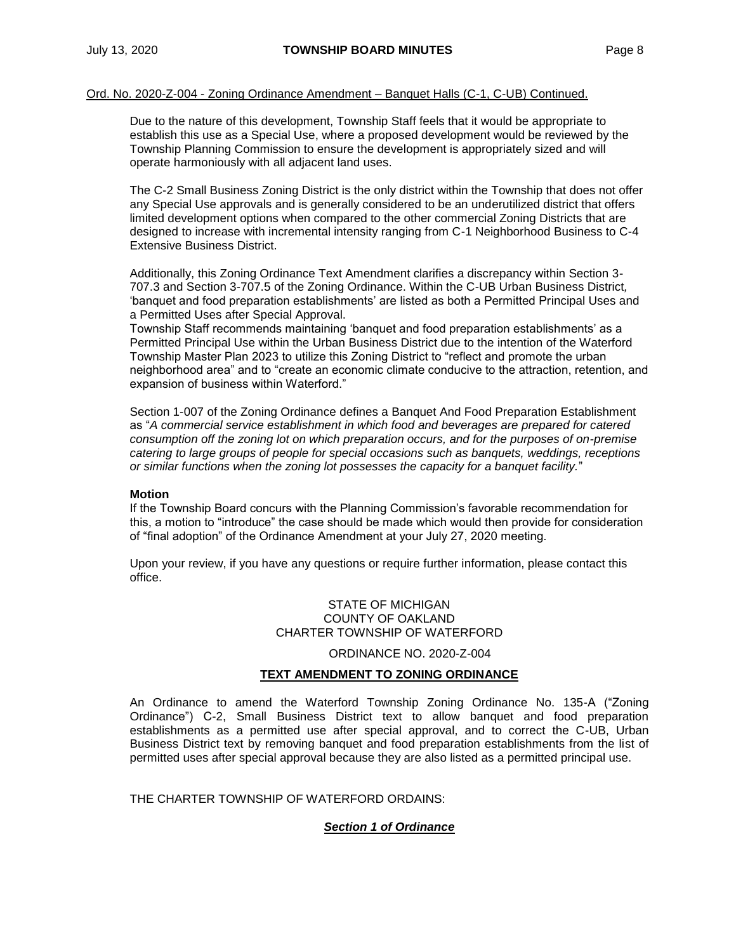Due to the nature of this development, Township Staff feels that it would be appropriate to establish this use as a Special Use, where a proposed development would be reviewed by the Township Planning Commission to ensure the development is appropriately sized and will operate harmoniously with all adjacent land uses.

The C-2 Small Business Zoning District is the only district within the Township that does not offer any Special Use approvals and is generally considered to be an underutilized district that offers limited development options when compared to the other commercial Zoning Districts that are designed to increase with incremental intensity ranging from C-1 Neighborhood Business to C-4 Extensive Business District.

Additionally, this Zoning Ordinance Text Amendment clarifies a discrepancy within Section 3- 707.3 and Section 3-707.5 of the Zoning Ordinance. Within the C-UB Urban Business District*,* 'banquet and food preparation establishments' are listed as both a Permitted Principal Uses and a Permitted Uses after Special Approval.

Township Staff recommends maintaining 'banquet and food preparation establishments' as a Permitted Principal Use within the Urban Business District due to the intention of the Waterford Township Master Plan 2023 to utilize this Zoning District to "reflect and promote the urban neighborhood area" and to "create an economic climate conducive to the attraction, retention, and expansion of business within Waterford."

Section 1-007 of the Zoning Ordinance defines a Banquet And Food Preparation Establishment as "*A commercial service establishment in which food and beverages are prepared for catered consumption off the zoning lot on which preparation occurs, and for the purposes of on-premise catering to large groups of people for special occasions such as banquets, weddings, receptions or similar functions when the zoning lot possesses the capacity for a banquet facility.*"

## **Motion**

If the Township Board concurs with the Planning Commission's favorable recommendation for this, a motion to "introduce" the case should be made which would then provide for consideration of "final adoption" of the Ordinance Amendment at your July 27, 2020 meeting.

Upon your review, if you have any questions or require further information, please contact this office.

## STATE OF MICHIGAN COUNTY OF OAKLAND CHARTER TOWNSHIP OF WATERFORD

ORDINANCE NO. 2020-Z-004

# **TEXT AMENDMENT TO ZONING ORDINANCE**

An Ordinance to amend the Waterford Township Zoning Ordinance No. 135-A ("Zoning Ordinance") C-2, Small Business District text to allow banquet and food preparation establishments as a permitted use after special approval, and to correct the C-UB, Urban Business District text by removing banquet and food preparation establishments from the list of permitted uses after special approval because they are also listed as a permitted principal use.

THE CHARTER TOWNSHIP OF WATERFORD ORDAINS:

# *Section 1 of Ordinance*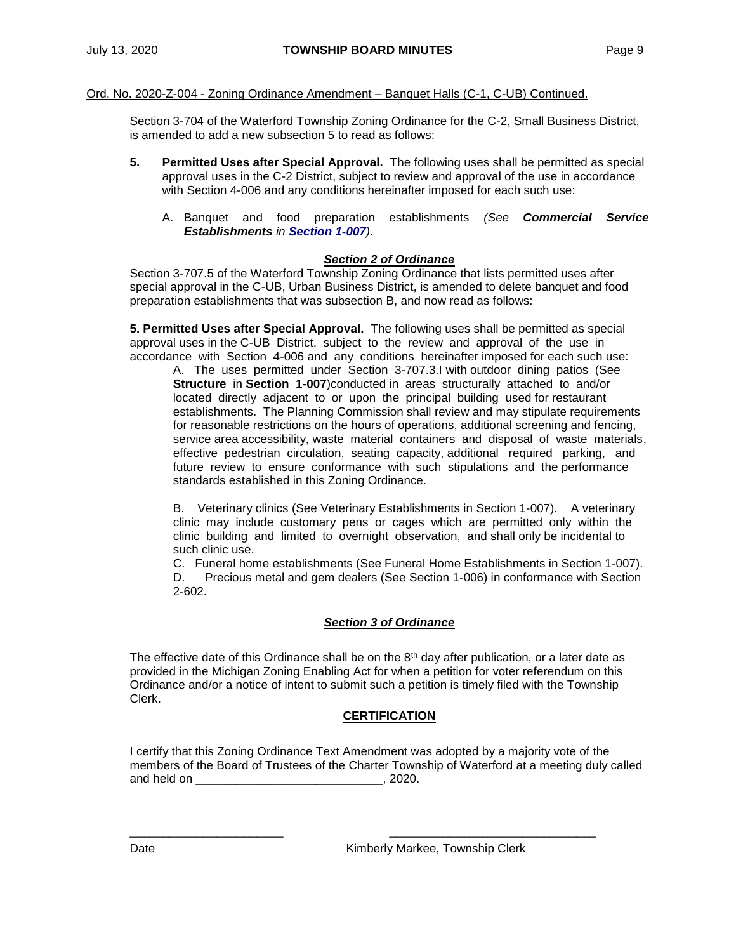## Ord. No. 2020-Z-004 - Zoning Ordinance Amendment – Banquet Halls (C-1, C-UB) Continued.

Section 3-704 of the Waterford Township Zoning Ordinance for the C-2, Small Business District, is amended to add a new subsection 5 to read as follows:

- **5. Permitted Uses after Special Approval.** The following uses shall be permitted as special approval uses in the C-2 District, subject to review and approval of the use in accordance with Section 4-006 and any conditions hereinafter imposed for each such use:
	- A. Banquet and food preparation establishments *(See Commercial Service Establishments in Section 1-007).*

# *Section 2 of Ordinance*

Section 3-707.5 of the Waterford Township Zoning Ordinance that lists permitted uses after special approval in the C-UB, Urban Business District, is amended to delete banquet and food preparation establishments that was subsection B, and now read as follows:

**5. Permitted Uses after Special Approval.** The following uses shall be permitted as special approval uses in the C-UB District, subject to the review and approval of the use in accordance with Section 4-006 and any conditions hereinafter imposed for each such use:

A. The uses permitted under Section 3-707.3.I with outdoor dining patios (See **Structure** in **Section 1-007**)conducted in areas structurally attached to and/or located directly adjacent to or upon the principal building used for restaurant establishments. The Planning Commission shall review and may stipulate requirements for reasonable restrictions on the hours of operations, additional screening and fencing, service area accessibility, waste material containers and disposal of waste materials, effective pedestrian circulation, seating capacity, additional required parking, and future review to ensure conformance with such stipulations and the performance standards established in this Zoning Ordinance.

B. Veterinary clinics (See Veterinary Establishments in Section 1-007). A veterinary clinic may include customary pens or cages which are permitted only within the clinic building and limited to overnight observation, and shall only be incidental to such clinic use.

C. Funeral home establishments (See Funeral Home Establishments in Section 1-007). D. Precious metal and gem dealers (See Section 1-006) in conformance with Section 2-602.

# *Section 3 of Ordinance*

The effective date of this Ordinance shall be on the  $8<sup>th</sup>$  day after publication, or a later date as provided in the Michigan Zoning Enabling Act for when a petition for voter referendum on this Ordinance and/or a notice of intent to submit such a petition is timely filed with the Township Clerk.

# **CERTIFICATION**

I certify that this Zoning Ordinance Text Amendment was adopted by a majority vote of the members of the Board of Trustees of the Charter Township of Waterford at a meeting duly called and held on \_\_\_\_\_\_\_\_\_\_\_\_\_\_\_\_\_\_\_\_\_\_\_\_\_\_\_\_\_\_\_\_\_, 2020.

\_\_\_\_\_\_\_\_\_\_\_\_\_\_\_\_\_\_\_\_\_\_\_ \_\_\_\_\_\_\_\_\_\_\_\_\_\_\_\_\_\_\_\_\_\_\_\_\_\_\_\_\_\_\_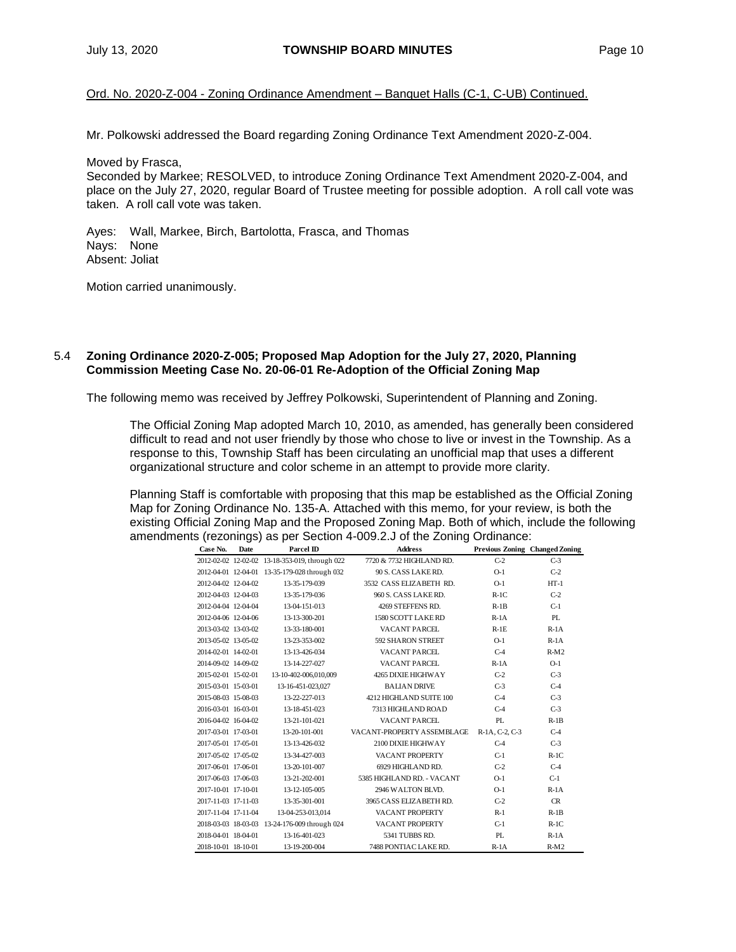Ord. No. 2020-Z-004 - Zoning Ordinance Amendment – Banquet Halls (C-1, C-UB) Continued.

Mr. Polkowski addressed the Board regarding Zoning Ordinance Text Amendment 2020-Z-004.

Moved by Frasca,

Seconded by Markee; RESOLVED, to introduce Zoning Ordinance Text Amendment 2020-Z-004, and place on the July 27, 2020, regular Board of Trustee meeting for possible adoption. A roll call vote was taken. A roll call vote was taken.

Ayes: Wall, Markee, Birch, Bartolotta, Frasca, and Thomas Nays: None Absent: Joliat

Motion carried unanimously.

## 5.4 **Zoning Ordinance 2020-Z-005; Proposed Map Adoption for the July 27, 2020, Planning Commission Meeting Case No. 20-06-01 Re-Adoption of the Official Zoning Map**

The following memo was received by Jeffrey Polkowski, Superintendent of Planning and Zoning.

The Official Zoning Map adopted March 10, 2010, as amended, has generally been considered difficult to read and not user friendly by those who chose to live or invest in the Township. As a response to this, Township Staff has been circulating an unofficial map that uses a different organizational structure and color scheme in an attempt to provide more clarity.

Planning Staff is comfortable with proposing that this map be established as the Official Zoning Map for Zoning Ordinance No. 135-A. Attached with this memo, for your review, is both the existing Official Zoning Map and the Proposed Zoning Map. Both of which, include the following amendments (rezonings) as per Section 4-009.2.J of the Zoning Ordinance:

| Case No.            | <b>Date</b> | Parcel ID                                      | <b>Address</b>             | Previous Zoning Changed Zoning |        |
|---------------------|-------------|------------------------------------------------|----------------------------|--------------------------------|--------|
|                     |             | 2012-02-02 12-02-02 13-18-353-019, through 022 | 7720 & 7732 HIGHLAND RD.   | $C-2$                          | $C-3$  |
|                     |             | 2012-04-01 12-04-01 13-35-179-028 through 032  | 90 S. CASS LAKERD.         | $O-1$                          | $C-2$  |
| 2012-04-02 12-04-02 |             | 13-35-179-039                                  | 3532 CASS ELIZABETH RD.    | $O-1$                          | $HT-1$ |
| 2012-04-03 12-04-03 |             | 13-35-179-036                                  | 960 S. CASS LAKERD.        | $R-1C$                         | $C-2$  |
| 2012-04-04 12-04-04 |             | 13-04-151-013                                  | 4269 STEFFENS RD.          | $R-1B$                         | $C-1$  |
| 2012-04-06 12-04-06 |             | 13-13-300-201                                  | 1580 SCOTT LAKE RD         | $R-1A$                         | PL     |
| 2013-03-02 13-03-02 |             | 13-33-180-001                                  | VACANT PARCEL              | $R-1E$                         | $R-1A$ |
| 2013-05-02 13-05-02 |             | 13-23-353-002                                  | 592 SHARON STREET          | $O-1$                          | $R-1A$ |
| 2014-02-01 14-02-01 |             | 13-13-426-034                                  | VACANT PARCEL              | $C-4$                          | $R-M2$ |
| 2014-09-02 14-09-02 |             | 13-14-227-027                                  | VACANT PARCEL              | $R-1A$                         | $O-1$  |
| 2015-02-01 15-02-01 |             | 13-10-402-006,010,009                          | 4265 DIXIE HIGHWAY         | $C-2$                          | $C-3$  |
| 2015-03-01 15-03-01 |             | 13-16-451-023,027                              | <b>BALIAN DRIVE</b>        | $C-3$                          | $C-4$  |
| 2015-08-03 15-08-03 |             | 13-22-227-013                                  | 4212 HIGHLAND SUITE 100    | $C-4$                          | $C-3$  |
| 2016-03-01 16-03-01 |             | 13-18-451-023                                  | 7313 HIGHLAND ROAD         | $C-4$                          | $C-3$  |
| 2016-04-02 16-04-02 |             | 13-21-101-021                                  | VACANT PARCEL              | PL                             | $R-1B$ |
| 2017-03-01 17-03-01 |             | 13-20-101-001                                  | VACANT-PROPERTY ASSEMBLAGE | R-1A, C-2, C-3                 | $C-4$  |
| 2017-05-01 17-05-01 |             | 13-13-426-032                                  | 2100 DIXIE HIGHWAY         | $C-4$                          | $C-3$  |
| 2017-05-02 17-05-02 |             | 13-34-427-003                                  | VACANT PROPERTY            | $C-1$                          | $R-1C$ |
| 2017-06-01 17-06-01 |             | 13-20-101-007                                  | 6929 HIGHLAND RD.          | $C-2$                          | $C-4$  |
| 2017-06-03 17-06-03 |             | 13-21-202-001                                  | 5385 HIGHLAND RD. - VACANT | $O-1$                          | $C-1$  |
| 2017-10-01 17-10-01 |             | 13-12-105-005                                  | 2946 WALTON BLVD.          | $O-1$                          | $R-1A$ |
| 2017-11-03 17-11-03 |             | 13-35-301-001                                  | 3965 CASS ELIZABETH RD.    | $C-2$                          | CR     |
| 2017-11-04 17-11-04 |             | 13-04-253-013,014                              | VACANT PROPERTY            | $R-1$                          | $R-1B$ |
|                     |             | 2018-03-03 18-03-03 13-24-176-009 through 024  | VACANT PROPERTY            | $C-1$                          | $R-1C$ |
| 2018-04-01 18-04-01 |             | 13-16-401-023                                  | 5341 TUBBS RD.             | PI.                            | $R-1A$ |
| 2018-10-01 18-10-01 |             | 13-19-200-004                                  | 7488 PONTIAC LAKE RD.      | $R-1A$                         | $R-M2$ |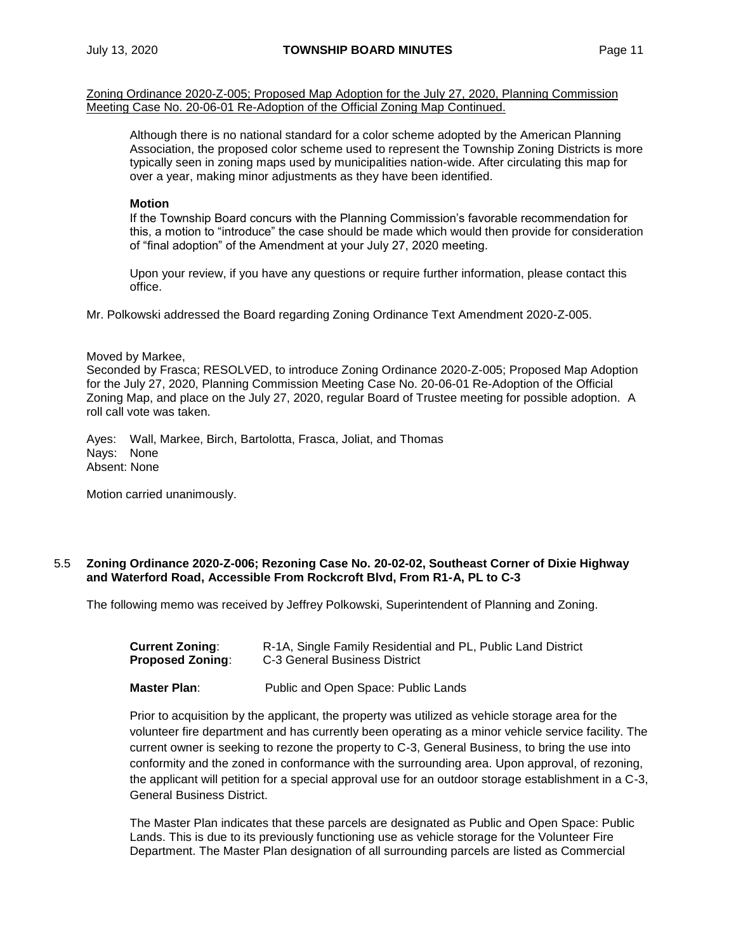Zoning Ordinance 2020-Z-005; Proposed Map Adoption for the July 27, 2020, Planning Commission Meeting Case No. 20-06-01 Re-Adoption of the Official Zoning Map Continued.

Although there is no national standard for a color scheme adopted by the American Planning Association, the proposed color scheme used to represent the Township Zoning Districts is more typically seen in zoning maps used by municipalities nation-wide. After circulating this map for over a year, making minor adjustments as they have been identified.

#### **Motion**

If the Township Board concurs with the Planning Commission's favorable recommendation for this, a motion to "introduce" the case should be made which would then provide for consideration of "final adoption" of the Amendment at your July 27, 2020 meeting.

Upon your review, if you have any questions or require further information, please contact this office.

Mr. Polkowski addressed the Board regarding Zoning Ordinance Text Amendment 2020-Z-005.

#### Moved by Markee,

Seconded by Frasca; RESOLVED, to introduce Zoning Ordinance 2020-Z-005; Proposed Map Adoption for the July 27, 2020, Planning Commission Meeting Case No. 20-06-01 Re-Adoption of the Official Zoning Map, and place on the July 27, 2020, regular Board of Trustee meeting for possible adoption. A roll call vote was taken.

Ayes: Wall, Markee, Birch, Bartolotta, Frasca, Joliat, and Thomas Nays: None Absent: None

Motion carried unanimously.

## 5.5 **Zoning Ordinance 2020-Z-006; Rezoning Case No. 20-02-02, Southeast Corner of Dixie Highway and Waterford Road, Accessible From Rockcroft Blvd, From R1-A, PL to C-3**

The following memo was received by Jeffrey Polkowski, Superintendent of Planning and Zoning.

| Current Zoning:         | R-1A, Single Family Residential and PL, Public Land District |
|-------------------------|--------------------------------------------------------------|
| <b>Proposed Zoning:</b> | C-3 General Business District                                |

**Master Plan**: Public and Open Space: Public Lands

Prior to acquisition by the applicant, the property was utilized as vehicle storage area for the volunteer fire department and has currently been operating as a minor vehicle service facility. The current owner is seeking to rezone the property to C-3, General Business, to bring the use into conformity and the zoned in conformance with the surrounding area. Upon approval, of rezoning, the applicant will petition for a special approval use for an outdoor storage establishment in a C-3, General Business District.

The Master Plan indicates that these parcels are designated as Public and Open Space: Public Lands. This is due to its previously functioning use as vehicle storage for the Volunteer Fire Department. The Master Plan designation of all surrounding parcels are listed as Commercial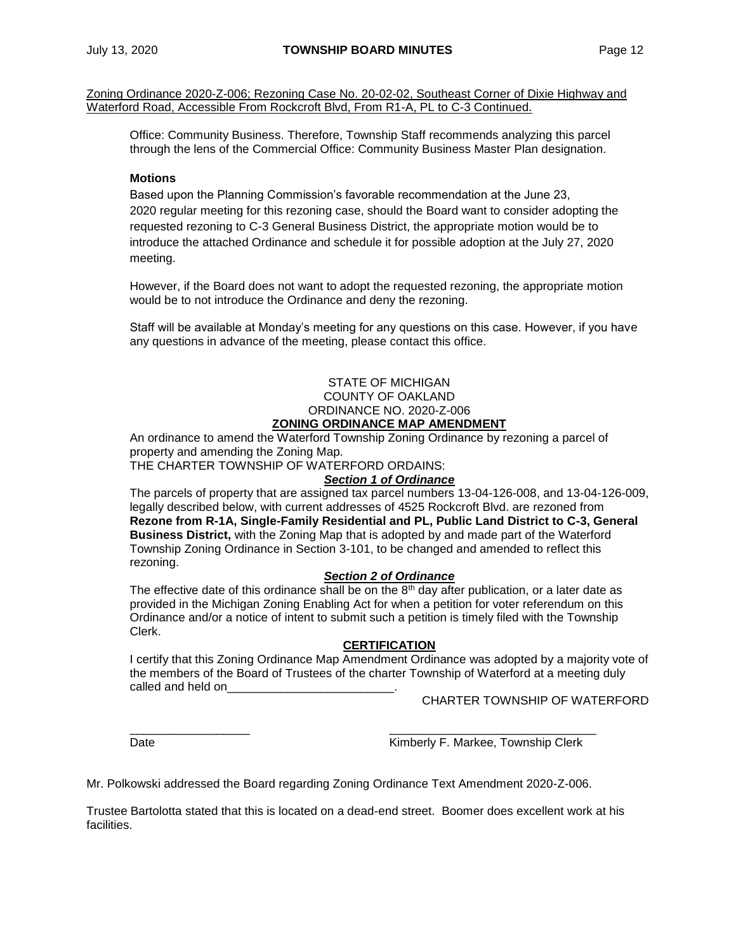Zoning Ordinance 2020-Z-006; Rezoning Case No. 20-02-02, Southeast Corner of Dixie Highway and Waterford Road, Accessible From Rockcroft Blvd, From R1-A, PL to C-3 Continued.

Office: Community Business. Therefore, Township Staff recommends analyzing this parcel through the lens of the Commercial Office: Community Business Master Plan designation.

# **Motions**

Based upon the Planning Commission's favorable recommendation at the June 23, 2020 regular meeting for this rezoning case, should the Board want to consider adopting the requested rezoning to C-3 General Business District, the appropriate motion would be to introduce the attached Ordinance and schedule it for possible adoption at the July 27, 2020 meeting.

However, if the Board does not want to adopt the requested rezoning, the appropriate motion would be to not introduce the Ordinance and deny the rezoning.

Staff will be available at Monday's meeting for any questions on this case. However, if you have any questions in advance of the meeting, please contact this office.

# STATE OF MICHIGAN COUNTY OF OAKLAND ORDINANCE NO. 2020-Z-006 **ZONING ORDINANCE MAP AMENDMENT**

An ordinance to amend the Waterford Township Zoning Ordinance by rezoning a parcel of property and amending the Zoning Map.

THE CHARTER TOWNSHIP OF WATERFORD ORDAINS:

## *Section 1 of Ordinance*

The parcels of property that are assigned tax parcel numbers 13-04-126-008, and 13-04-126-009, legally described below, with current addresses of 4525 Rockcroft Blvd. are rezoned from **Rezone from R-1A, Single-Family Residential and PL, Public Land District to C-3, General Business District,** with the Zoning Map that is adopted by and made part of the Waterford Township Zoning Ordinance in Section 3-101, to be changed and amended to reflect this rezoning.

## *Section 2 of Ordinance*

The effective date of this ordinance shall be on the  $8<sup>th</sup>$  day after publication, or a later date as provided in the Michigan Zoning Enabling Act for when a petition for voter referendum on this Ordinance and/or a notice of intent to submit such a petition is timely filed with the Township Clerk.

#### **CERTIFICATION**

I certify that this Zoning Ordinance Map Amendment Ordinance was adopted by a majority vote of the members of the Board of Trustees of the charter Township of Waterford at a meeting duly called and held on

CHARTER TOWNSHIP OF WATERFORD

Date **Communist Clerk** Kimberly F. Markee, Township Clerk

Mr. Polkowski addressed the Board regarding Zoning Ordinance Text Amendment 2020-Z-006.

Trustee Bartolotta stated that this is located on a dead-end street. Boomer does excellent work at his facilities.

\_\_\_\_\_\_\_\_\_\_\_\_\_\_\_\_\_\_ \_\_\_\_\_\_\_\_\_\_\_\_\_\_\_\_\_\_\_\_\_\_\_\_\_\_\_\_\_\_\_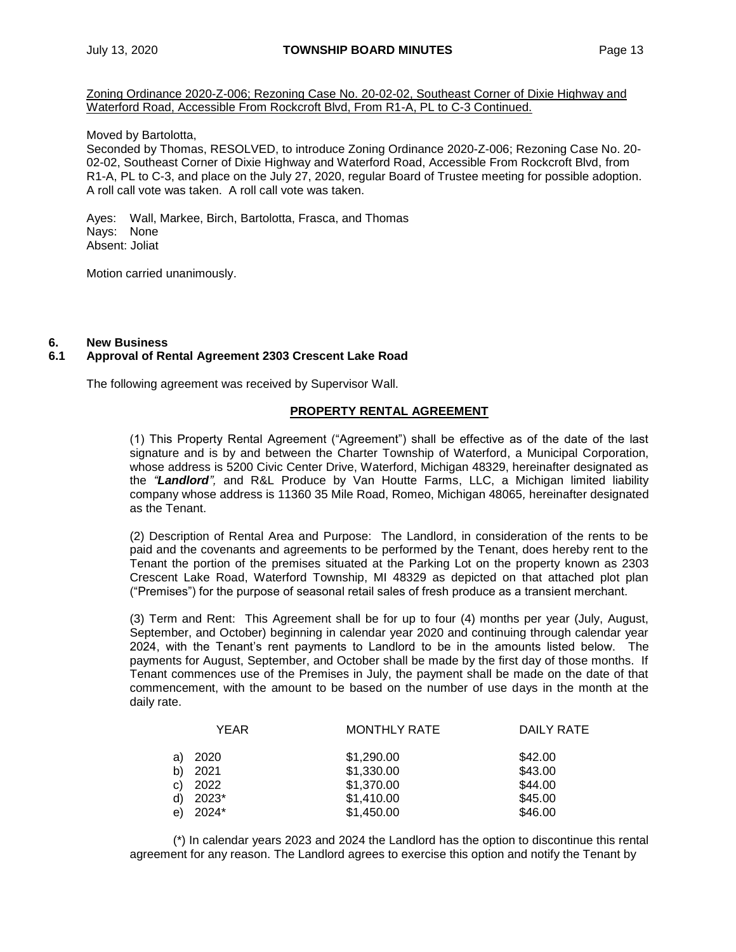Zoning Ordinance 2020-Z-006; Rezoning Case No. 20-02-02, Southeast Corner of Dixie Highway and Waterford Road, Accessible From Rockcroft Blvd, From R1-A, PL to C-3 Continued.

Moved by Bartolotta,

Seconded by Thomas, RESOLVED, to introduce Zoning Ordinance 2020-Z-006; Rezoning Case No. 20- 02-02, Southeast Corner of Dixie Highway and Waterford Road, Accessible From Rockcroft Blvd, from R1-A, PL to C-3, and place on the July 27, 2020, regular Board of Trustee meeting for possible adoption. A roll call vote was taken. A roll call vote was taken.

Ayes: Wall, Markee, Birch, Bartolotta, Frasca, and Thomas Nays: None Absent: Joliat

Motion carried unanimously.

## **6. New Business**

# **6.1 Approval of Rental Agreement 2303 Crescent Lake Road**

The following agreement was received by Supervisor Wall.

# **PROPERTY RENTAL AGREEMENT**

(1) This Property Rental Agreement ("Agreement") shall be effective as of the date of the last signature and is by and between the Charter Township of Waterford, a Municipal Corporation, whose address is 5200 Civic Center Drive, Waterford, Michigan 48329, hereinafter designated as the *"Landlord",* and R&L Produce by Van Houtte Farms, LLC, a Michigan limited liability company whose address is 11360 35 Mile Road, Romeo, Michigan 48065*,* hereinafter designated as the Tenant.

(2) Description of Rental Area and Purpose: The Landlord, in consideration of the rents to be paid and the covenants and agreements to be performed by the Tenant, does hereby rent to the Tenant the portion of the premises situated at the Parking Lot on the property known as 2303 Crescent Lake Road, Waterford Township, MI 48329 as depicted on that attached plot plan ("Premises") for the purpose of seasonal retail sales of fresh produce as a transient merchant.

(3) Term and Rent: This Agreement shall be for up to four (4) months per year (July, August, September, and October) beginning in calendar year 2020 and continuing through calendar year 2024, with the Tenant's rent payments to Landlord to be in the amounts listed below. The payments for August, September, and October shall be made by the first day of those months. If Tenant commences use of the Premises in July, the payment shall be made on the date of that commencement, with the amount to be based on the number of use days in the month at the daily rate.

|              | <b>YEAR</b> | <b>MONTHLY RATE</b> | DAILY RATE |
|--------------|-------------|---------------------|------------|
| a)           | 2020        | \$1,290.00          | \$42.00    |
| b)           | 2021        | \$1,330.00          | \$43.00    |
| $\mathbf{C}$ | 2022        | \$1,370.00          | \$44.00    |
| d)           | 2023*       | \$1,410.00          | \$45.00    |
| e)           | 2024*       | \$1,450.00          | \$46.00    |
|              |             |                     |            |

(\*) In calendar years 2023 and 2024 the Landlord has the option to discontinue this rental agreement for any reason. The Landlord agrees to exercise this option and notify the Tenant by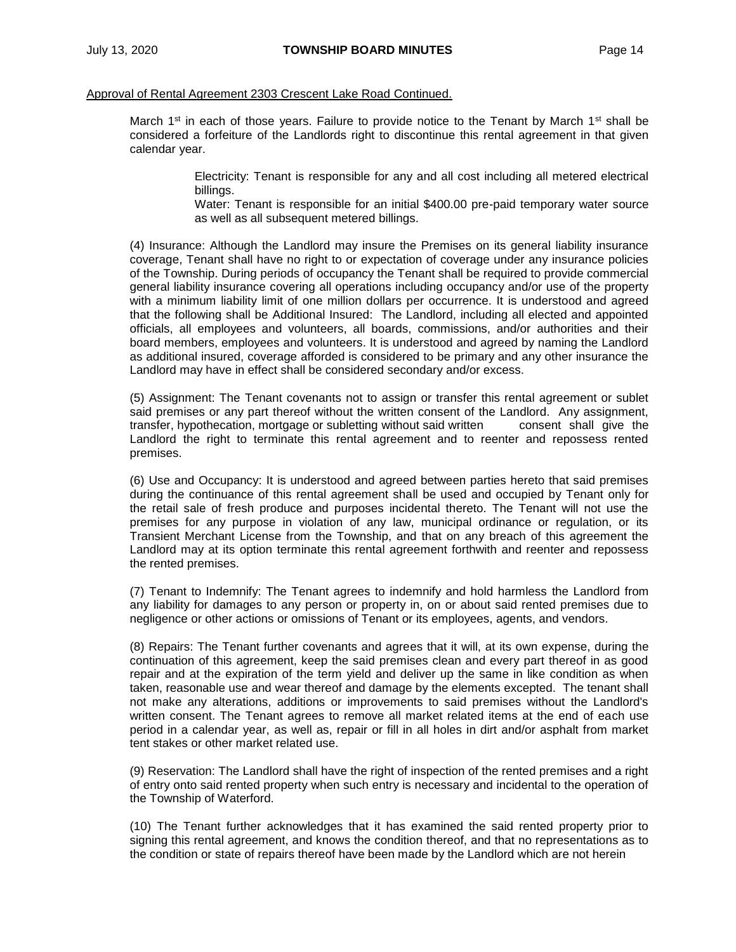#### Approval of Rental Agreement 2303 Crescent Lake Road Continued.

March 1<sup>st</sup> in each of those years. Failure to provide notice to the Tenant by March 1<sup>st</sup> shall be considered a forfeiture of the Landlords right to discontinue this rental agreement in that given calendar year.

> Electricity: Tenant is responsible for any and all cost including all metered electrical billings.

> Water: Tenant is responsible for an initial \$400.00 pre-paid temporary water source as well as all subsequent metered billings.

(4) Insurance: Although the Landlord may insure the Premises on its general liability insurance coverage, Tenant shall have no right to or expectation of coverage under any insurance policies of the Township. During periods of occupancy the Tenant shall be required to provide commercial general liability insurance covering all operations including occupancy and/or use of the property with a minimum liability limit of one million dollars per occurrence. It is understood and agreed that the following shall be Additional Insured: The Landlord, including all elected and appointed officials, all employees and volunteers, all boards, commissions, and/or authorities and their board members, employees and volunteers. It is understood and agreed by naming the Landlord as additional insured, coverage afforded is considered to be primary and any other insurance the Landlord may have in effect shall be considered secondary and/or excess.

(5) Assignment: The Tenant covenants not to assign or transfer this rental agreement or sublet said premises or any part thereof without the written consent of the Landlord. Any assignment, transfer, hypothecation, mortgage or subletting without said written consent shall give the Landlord the right to terminate this rental agreement and to reenter and repossess rented premises.

(6) Use and Occupancy: It is understood and agreed between parties hereto that said premises during the continuance of this rental agreement shall be used and occupied by Tenant only for the retail sale of fresh produce and purposes incidental thereto. The Tenant will not use the premises for any purpose in violation of any law, municipal ordinance or regulation, or its Transient Merchant License from the Township, and that on any breach of this agreement the Landlord may at its option terminate this rental agreement forthwith and reenter and repossess the rented premises.

(7) Tenant to Indemnify: The Tenant agrees to indemnify and hold harmless the Landlord from any liability for damages to any person or property in, on or about said rented premises due to negligence or other actions or omissions of Tenant or its employees, agents, and vendors.

(8) Repairs: The Tenant further covenants and agrees that it will, at its own expense, during the continuation of this agreement, keep the said premises clean and every part thereof in as good repair and at the expiration of the term yield and deliver up the same in like condition as when taken, reasonable use and wear thereof and damage by the elements excepted. The tenant shall not make any alterations, additions or improvements to said premises without the Landlord's written consent. The Tenant agrees to remove all market related items at the end of each use period in a calendar year, as well as, repair or fill in all holes in dirt and/or asphalt from market tent stakes or other market related use.

(9) Reservation: The Landlord shall have the right of inspection of the rented premises and a right of entry onto said rented property when such entry is necessary and incidental to the operation of the Township of Waterford.

(10) The Tenant further acknowledges that it has examined the said rented property prior to signing this rental agreement, and knows the condition thereof, and that no representations as to the condition or state of repairs thereof have been made by the Landlord which are not herein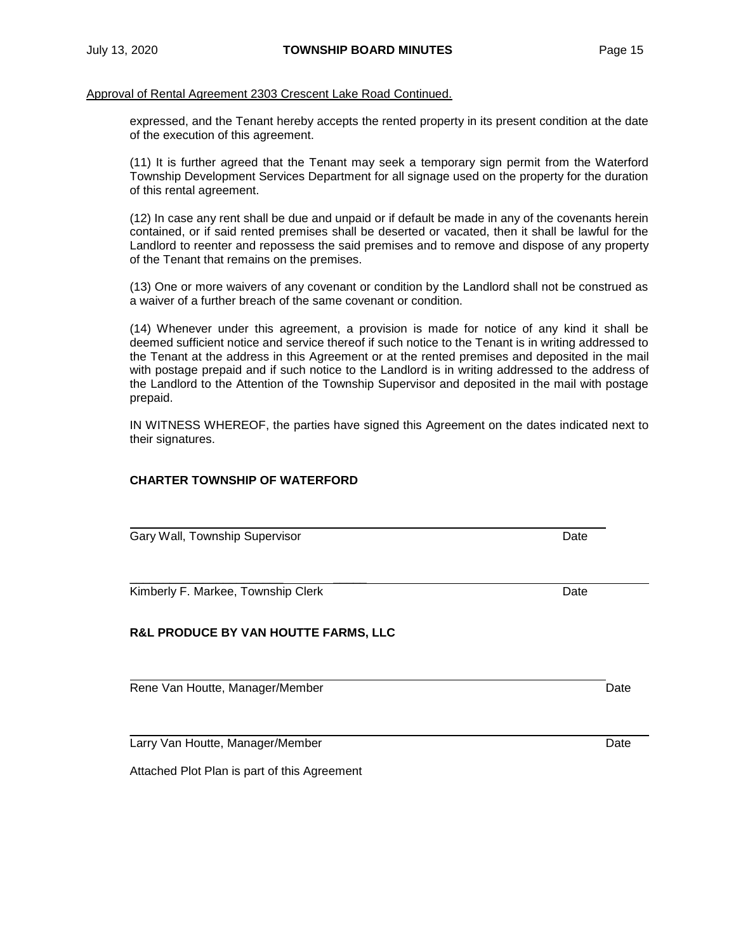Approval of Rental Agreement 2303 Crescent Lake Road Continued.

expressed, and the Tenant hereby accepts the rented property in its present condition at the date of the execution of this agreement.

(11) It is further agreed that the Tenant may seek a temporary sign permit from the Waterford Township Development Services Department for all signage used on the property for the duration of this rental agreement.

(12) In case any rent shall be due and unpaid or if default be made in any of the covenants herein contained, or if said rented premises shall be deserted or vacated, then it shall be lawful for the Landlord to reenter and repossess the said premises and to remove and dispose of any property of the Tenant that remains on the premises.

(13) One or more waivers of any covenant or condition by the Landlord shall not be construed as a waiver of a further breach of the same covenant or condition.

(14) Whenever under this agreement, a provision is made for notice of any kind it shall be deemed sufficient notice and service thereof if such notice to the Tenant is in writing addressed to the Tenant at the address in this Agreement or at the rented premises and deposited in the mail with postage prepaid and if such notice to the Landlord is in writing addressed to the address of the Landlord to the Attention of the Township Supervisor and deposited in the mail with postage prepaid.

IN WITNESS WHEREOF, the parties have signed this Agreement on the dates indicated next to their signatures.

\_\_\_\_\_\_\_\_\_\_\_\_\_\_\_\_\_\_\_\_\_\_\_ \_\_\_\_\_

## **CHARTER TOWNSHIP OF WATERFORD**

Gary Wall, Township Supervisor **Date Date** Date **Date Date Date** 

Kimberly F. Markee, Township Clerk Date Date Date Date Date

# **R&L PRODUCE BY VAN HOUTTE FARMS, LLC**

Rene Van Houtte, Manager/Member Date Date Date Date

Larry Van Houtte, Manager/Member Date Date Date Date Date Date

Attached Plot Plan is part of this Agreement

\_\_\_\_\_\_\_\_\_\_\_\_\_\_\_\_\_\_\_\_\_ \_\_\_\_\_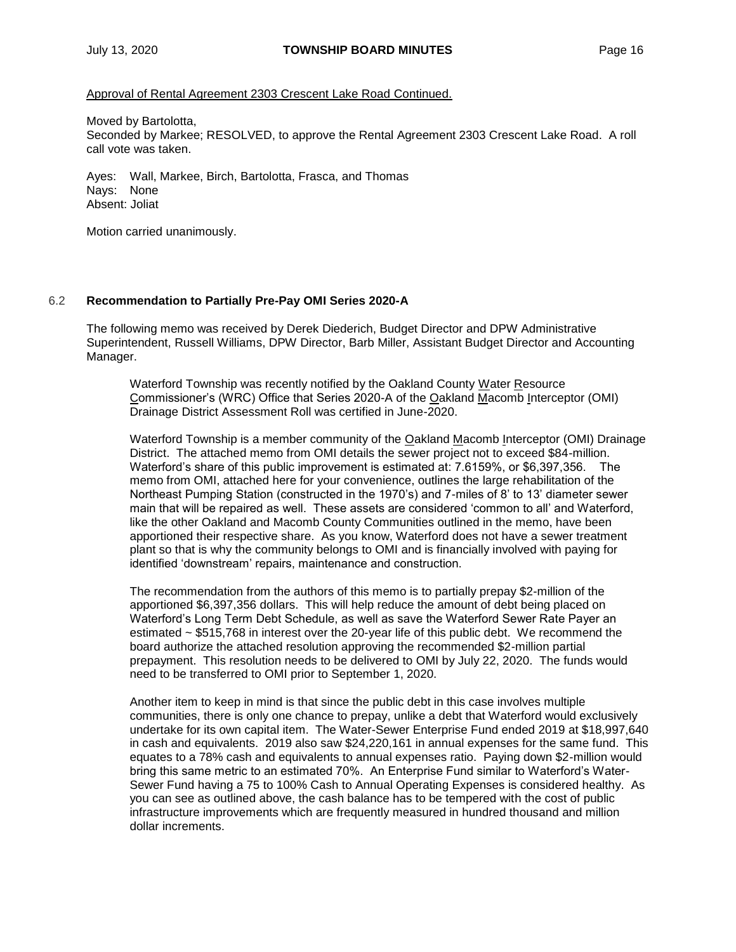## Approval of Rental Agreement 2303 Crescent Lake Road Continued.

Moved by Bartolotta,

Seconded by Markee; RESOLVED, to approve the Rental Agreement 2303 Crescent Lake Road. A roll call vote was taken.

Ayes: Wall, Markee, Birch, Bartolotta, Frasca, and Thomas Nays: None Absent: Joliat

Motion carried unanimously.

## 6.2 **Recommendation to Partially Pre-Pay OMI Series 2020-A**

The following memo was received by Derek Diederich, Budget Director and DPW Administrative Superintendent, Russell Williams, DPW Director, Barb Miller, Assistant Budget Director and Accounting Manager.

Waterford Township was recently notified by the Oakland County Water Resource Commissioner's (WRC) Office that Series 2020-A of the Oakland Macomb Interceptor (OMI) Drainage District Assessment Roll was certified in June-2020.

Waterford Township is a member community of the Oakland Macomb Interceptor (OMI) Drainage District. The attached memo from OMI details the sewer project not to exceed \$84-million. Waterford's share of this public improvement is estimated at: 7.6159%, or \$6,397,356. The memo from OMI, attached here for your convenience, outlines the large rehabilitation of the Northeast Pumping Station (constructed in the 1970's) and 7-miles of 8' to 13' diameter sewer main that will be repaired as well. These assets are considered 'common to all' and Waterford, like the other Oakland and Macomb County Communities outlined in the memo, have been apportioned their respective share. As you know, Waterford does not have a sewer treatment plant so that is why the community belongs to OMI and is financially involved with paying for identified 'downstream' repairs, maintenance and construction.

The recommendation from the authors of this memo is to partially prepay \$2-million of the apportioned \$6,397,356 dollars. This will help reduce the amount of debt being placed on Waterford's Long Term Debt Schedule, as well as save the Waterford Sewer Rate Payer an estimated ~ \$515,768 in interest over the 20-year life of this public debt. We recommend the board authorize the attached resolution approving the recommended \$2-million partial prepayment. This resolution needs to be delivered to OMI by July 22, 2020. The funds would need to be transferred to OMI prior to September 1, 2020.

Another item to keep in mind is that since the public debt in this case involves multiple communities, there is only one chance to prepay, unlike a debt that Waterford would exclusively undertake for its own capital item. The Water-Sewer Enterprise Fund ended 2019 at \$18,997,640 in cash and equivalents. 2019 also saw \$24,220,161 in annual expenses for the same fund. This equates to a 78% cash and equivalents to annual expenses ratio. Paying down \$2-million would bring this same metric to an estimated 70%. An Enterprise Fund similar to Waterford's Water-Sewer Fund having a 75 to 100% Cash to Annual Operating Expenses is considered healthy. As you can see as outlined above, the cash balance has to be tempered with the cost of public infrastructure improvements which are frequently measured in hundred thousand and million dollar increments.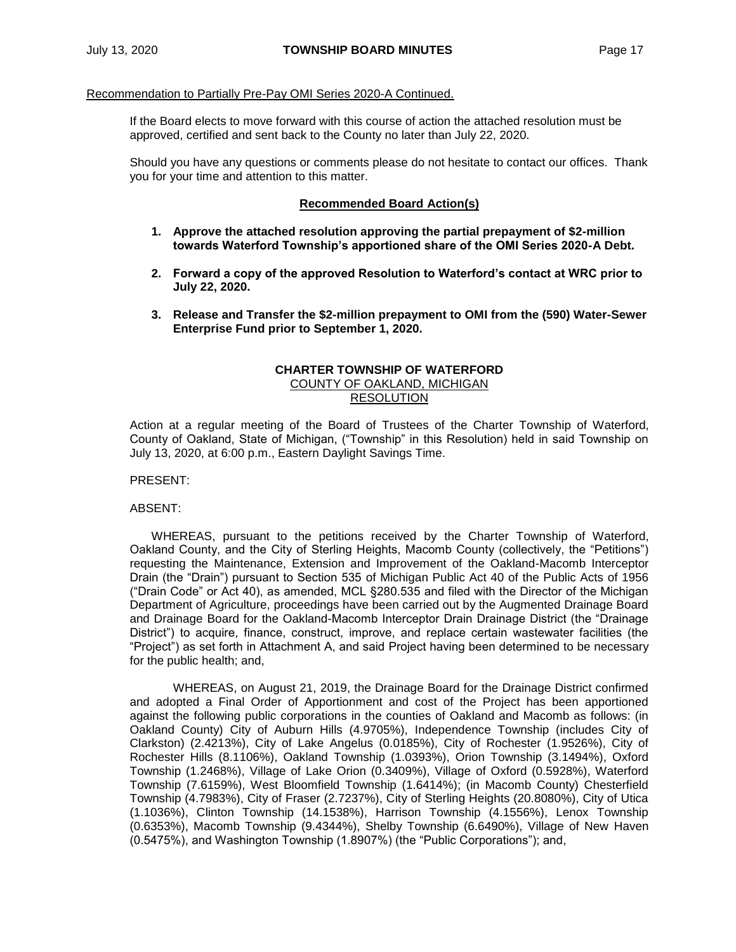#### Recommendation to Partially Pre-Pay OMI Series 2020-A Continued.

If the Board elects to move forward with this course of action the attached resolution must be approved, certified and sent back to the County no later than July 22, 2020.

Should you have any questions or comments please do not hesitate to contact our offices. Thank you for your time and attention to this matter.

#### **Recommended Board Action(s)**

- **1. Approve the attached resolution approving the partial prepayment of \$2-million towards Waterford Township's apportioned share of the OMI Series 2020-A Debt.**
- **2. Forward a copy of the approved Resolution to Waterford's contact at WRC prior to July 22, 2020.**
- **3. Release and Transfer the \$2-million prepayment to OMI from the (590) Water-Sewer Enterprise Fund prior to September 1, 2020.**

## **CHARTER TOWNSHIP OF WATERFORD** COUNTY OF OAKLAND, MICHIGAN **RESOLUTION**

Action at a regular meeting of the Board of Trustees of the Charter Township of Waterford, County of Oakland, State of Michigan, ("Township" in this Resolution) held in said Township on July 13, 2020, at 6:00 p.m., Eastern Daylight Savings Time.

PRESENT:

#### ABSENT:

WHEREAS, pursuant to the petitions received by the Charter Township of Waterford, Oakland County, and the City of Sterling Heights, Macomb County (collectively, the "Petitions") requesting the Maintenance, Extension and Improvement of the Oakland-Macomb Interceptor Drain (the "Drain") pursuant to Section 535 of Michigan Public Act 40 of the Public Acts of 1956 ("Drain Code" or Act 40), as amended, MCL §280.535 and filed with the Director of the Michigan Department of Agriculture, proceedings have been carried out by the Augmented Drainage Board and Drainage Board for the Oakland-Macomb Interceptor Drain Drainage District (the "Drainage District") to acquire, finance, construct, improve, and replace certain wastewater facilities (the "Project") as set forth in Attachment A, and said Project having been determined to be necessary for the public health; and,

WHEREAS, on August 21, 2019, the Drainage Board for the Drainage District confirmed and adopted a Final Order of Apportionment and cost of the Project has been apportioned against the following public corporations in the counties of Oakland and Macomb as follows: (in Oakland County) City of Auburn Hills (4.9705%), Independence Township (includes City of Clarkston) (2.4213%), City of Lake Angelus (0.0185%), City of Rochester (1.9526%), City of Rochester Hills (8.1106%), Oakland Township (1.0393%), Orion Township (3.1494%), Oxford Township (1.2468%), Village of Lake Orion (0.3409%), Village of Oxford (0.5928%), Waterford Township (7.6159%), West Bloomfield Township (1.6414%); (in Macomb County) Chesterfield Township (4.7983%), City of Fraser (2.7237%), City of Sterling Heights (20.8080%), City of Utica (1.1036%), Clinton Township (14.1538%), Harrison Township (4.1556%), Lenox Township (0.6353%), Macomb Township (9.4344%), Shelby Township (6.6490%), Village of New Haven (0.5475%), and Washington Township (1.8907%) (the "Public Corporations"); and,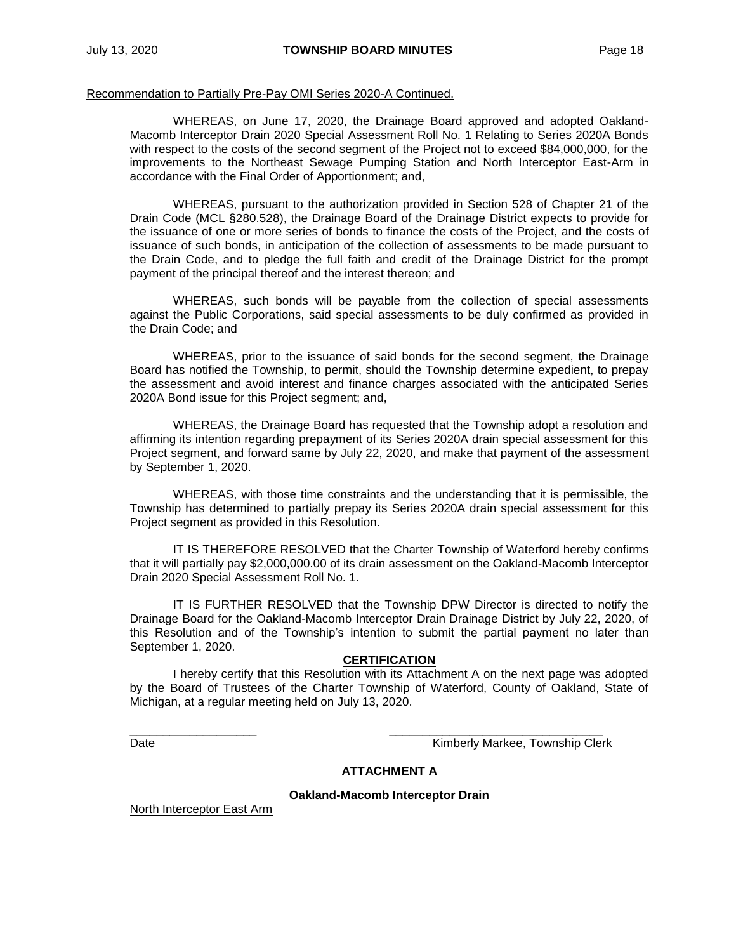#### Recommendation to Partially Pre-Pay OMI Series 2020-A Continued.

WHEREAS, on June 17, 2020, the Drainage Board approved and adopted Oakland-Macomb Interceptor Drain 2020 Special Assessment Roll No. 1 Relating to Series 2020A Bonds with respect to the costs of the second segment of the Project not to exceed \$84,000,000, for the improvements to the Northeast Sewage Pumping Station and North Interceptor East-Arm in accordance with the Final Order of Apportionment; and,

WHEREAS, pursuant to the authorization provided in Section 528 of Chapter 21 of the Drain Code (MCL §280.528), the Drainage Board of the Drainage District expects to provide for the issuance of one or more series of bonds to finance the costs of the Project, and the costs of issuance of such bonds, in anticipation of the collection of assessments to be made pursuant to the Drain Code, and to pledge the full faith and credit of the Drainage District for the prompt payment of the principal thereof and the interest thereon; and

WHEREAS, such bonds will be payable from the collection of special assessments against the Public Corporations, said special assessments to be duly confirmed as provided in the Drain Code; and

WHEREAS, prior to the issuance of said bonds for the second segment, the Drainage Board has notified the Township, to permit, should the Township determine expedient, to prepay the assessment and avoid interest and finance charges associated with the anticipated Series 2020A Bond issue for this Project segment; and,

WHEREAS, the Drainage Board has requested that the Township adopt a resolution and affirming its intention regarding prepayment of its Series 2020A drain special assessment for this Project segment, and forward same by July 22, 2020, and make that payment of the assessment by September 1, 2020.

WHEREAS, with those time constraints and the understanding that it is permissible, the Township has determined to partially prepay its Series 2020A drain special assessment for this Project segment as provided in this Resolution.

IT IS THEREFORE RESOLVED that the Charter Township of Waterford hereby confirms that it will partially pay \$2,000,000.00 of its drain assessment on the Oakland-Macomb Interceptor Drain 2020 Special Assessment Roll No. 1.

IT IS FURTHER RESOLVED that the Township DPW Director is directed to notify the Drainage Board for the Oakland-Macomb Interceptor Drain Drainage District by July 22, 2020, of this Resolution and of the Township's intention to submit the partial payment no later than September 1, 2020.

#### **CERTIFICATION**

I hereby certify that this Resolution with its Attachment A on the next page was adopted by the Board of Trustees of the Charter Township of Waterford, County of Oakland, State of Michigan, at a regular meeting held on July 13, 2020.

\_\_\_\_\_\_\_\_\_\_\_\_\_\_\_\_\_\_\_ \_\_\_\_\_\_\_\_\_\_\_\_\_\_\_\_\_\_\_\_\_\_\_\_\_\_\_\_\_\_\_\_ Date **Communist Clerk** Communist Communist Clerk Kimberly Markee, Township Clerk

## **ATTACHMENT A**

**Oakland-Macomb Interceptor Drain**

North Interceptor East Arm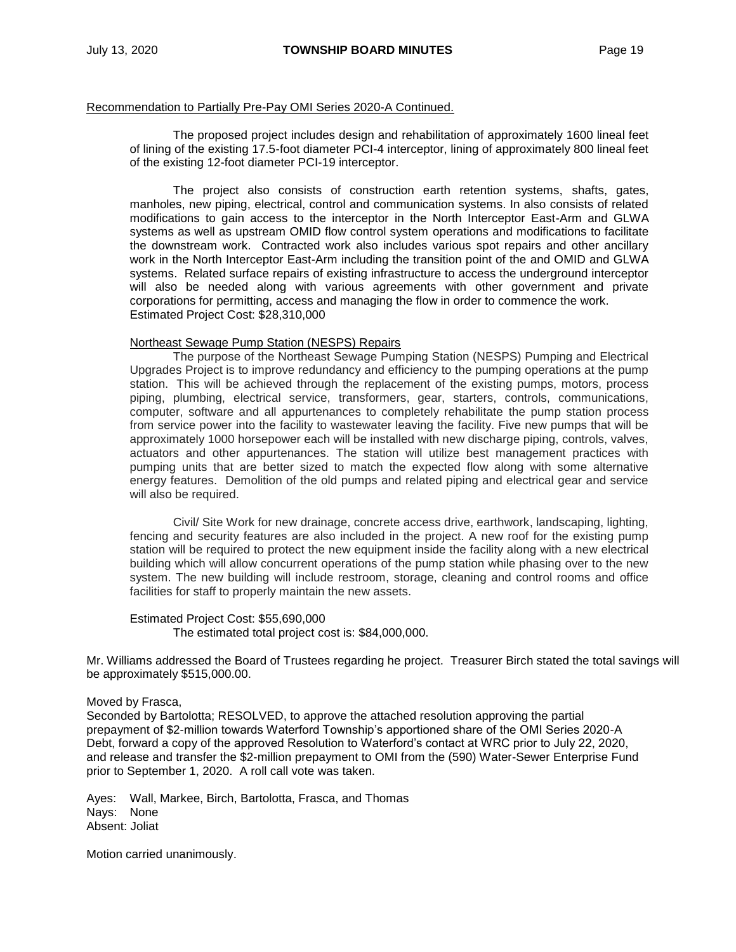#### Recommendation to Partially Pre-Pay OMI Series 2020-A Continued.

The proposed project includes design and rehabilitation of approximately 1600 lineal feet of lining of the existing 17.5-foot diameter PCI-4 interceptor, lining of approximately 800 lineal feet of the existing 12-foot diameter PCI-19 interceptor.

The project also consists of construction earth retention systems, shafts, gates, manholes, new piping, electrical, control and communication systems. In also consists of related modifications to gain access to the interceptor in the North Interceptor East-Arm and GLWA systems as well as upstream OMID flow control system operations and modifications to facilitate the downstream work. Contracted work also includes various spot repairs and other ancillary work in the North Interceptor East-Arm including the transition point of the and OMID and GLWA systems. Related surface repairs of existing infrastructure to access the underground interceptor will also be needed along with various agreements with other government and private corporations for permitting, access and managing the flow in order to commence the work. Estimated Project Cost: \$28,310,000

#### Northeast Sewage Pump Station (NESPS) Repairs

The purpose of the Northeast Sewage Pumping Station (NESPS) Pumping and Electrical Upgrades Project is to improve redundancy and efficiency to the pumping operations at the pump station. This will be achieved through the replacement of the existing pumps, motors, process piping, plumbing, electrical service, transformers, gear, starters, controls, communications, computer, software and all appurtenances to completely rehabilitate the pump station process from service power into the facility to wastewater leaving the facility. Five new pumps that will be approximately 1000 horsepower each will be installed with new discharge piping, controls, valves, actuators and other appurtenances. The station will utilize best management practices with pumping units that are better sized to match the expected flow along with some alternative energy features. Demolition of the old pumps and related piping and electrical gear and service will also be required.

Civil/ Site Work for new drainage, concrete access drive, earthwork, landscaping, lighting, fencing and security features are also included in the project. A new roof for the existing pump station will be required to protect the new equipment inside the facility along with a new electrical building which will allow concurrent operations of the pump station while phasing over to the new system. The new building will include restroom, storage, cleaning and control rooms and office facilities for staff to properly maintain the new assets.

Estimated Project Cost: \$55,690,000 The estimated total project cost is: \$84,000,000.

Mr. Williams addressed the Board of Trustees regarding he project. Treasurer Birch stated the total savings will be approximately \$515,000.00.

#### Moved by Frasca,

Seconded by Bartolotta; RESOLVED, to approve the attached resolution approving the partial prepayment of \$2-million towards Waterford Township's apportioned share of the OMI Series 2020-A Debt, forward a copy of the approved Resolution to Waterford's contact at WRC prior to July 22, 2020, and release and transfer the \$2-million prepayment to OMI from the (590) Water-Sewer Enterprise Fund prior to September 1, 2020. A roll call vote was taken.

Ayes: Wall, Markee, Birch, Bartolotta, Frasca, and Thomas Nays: None Absent: Joliat

Motion carried unanimously.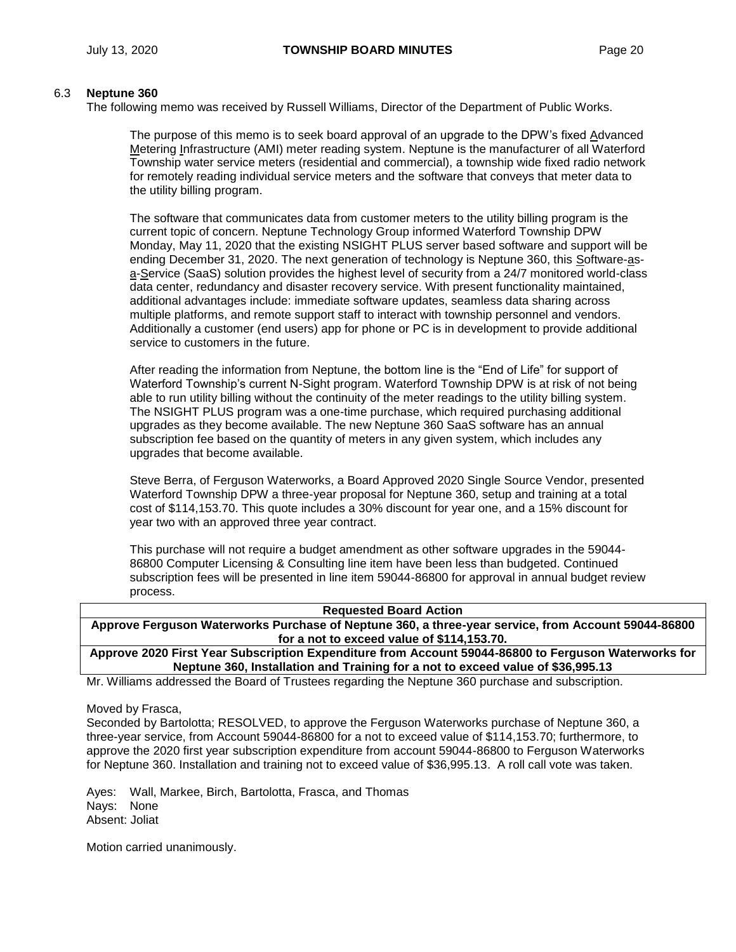# 6.3 **Neptune 360**

The following memo was received by Russell Williams, Director of the Department of Public Works.

The purpose of this memo is to seek board approval of an upgrade to the DPW's fixed Advanced Metering Infrastructure (AMI) meter reading system. Neptune is the manufacturer of all Waterford Township water service meters (residential and commercial), a township wide fixed radio network for remotely reading individual service meters and the software that conveys that meter data to the utility billing program.

The software that communicates data from customer meters to the utility billing program is the current topic of concern. Neptune Technology Group informed Waterford Township DPW Monday, May 11, 2020 that the existing NSIGHT PLUS server based software and support will be ending December 31, 2020. The next generation of technology is Neptune 360, this Software-asa-Service (SaaS) solution provides the highest level of security from a 24/7 monitored world-class data center, redundancy and disaster recovery service. With present functionality maintained, additional advantages include: immediate software updates, seamless data sharing across multiple platforms, and remote support staff to interact with township personnel and vendors. Additionally a customer (end users) app for phone or PC is in development to provide additional service to customers in the future.

After reading the information from Neptune, the bottom line is the "End of Life" for support of Waterford Township's current N-Sight program. Waterford Township DPW is at risk of not being able to run utility billing without the continuity of the meter readings to the utility billing system. The NSIGHT PLUS program was a one-time purchase, which required purchasing additional upgrades as they become available. The new Neptune 360 SaaS software has an annual subscription fee based on the quantity of meters in any given system, which includes any upgrades that become available.

Steve Berra, of Ferguson Waterworks, a Board Approved 2020 Single Source Vendor, presented Waterford Township DPW a three-year proposal for Neptune 360, setup and training at a total cost of \$114,153.70. This quote includes a 30% discount for year one, and a 15% discount for year two with an approved three year contract.

This purchase will not require a budget amendment as other software upgrades in the 59044- 86800 Computer Licensing & Consulting line item have been less than budgeted. Continued subscription fees will be presented in line item 59044-86800 for approval in annual budget review process.

| <b>Requested Board Action</b>                                                                        |  |  |  |
|------------------------------------------------------------------------------------------------------|--|--|--|
| Approve Ferguson Waterworks Purchase of Neptune 360, a three-year service, from Account 59044-86800  |  |  |  |
| for a not to exceed value of \$114,153.70.                                                           |  |  |  |
| Approve 2020 First Year Subscription Expenditure from Account 59044-86800 to Ferguson Waterworks for |  |  |  |
| Neptune 360, Installation and Training for a not to exceed value of \$36,995.13                      |  |  |  |

Mr. Williams addressed the Board of Trustees regarding the Neptune 360 purchase and subscription.

Moved by Frasca,

Seconded by Bartolotta; RESOLVED, to approve the Ferguson Waterworks purchase of Neptune 360, a three-year service, from Account 59044-86800 for a not to exceed value of \$114,153.70; furthermore, to approve the 2020 first year subscription expenditure from account 59044-86800 to Ferguson Waterworks for Neptune 360. Installation and training not to exceed value of \$36,995.13. A roll call vote was taken.

Ayes: Wall, Markee, Birch, Bartolotta, Frasca, and Thomas Nays: None Absent: Joliat

Motion carried unanimously.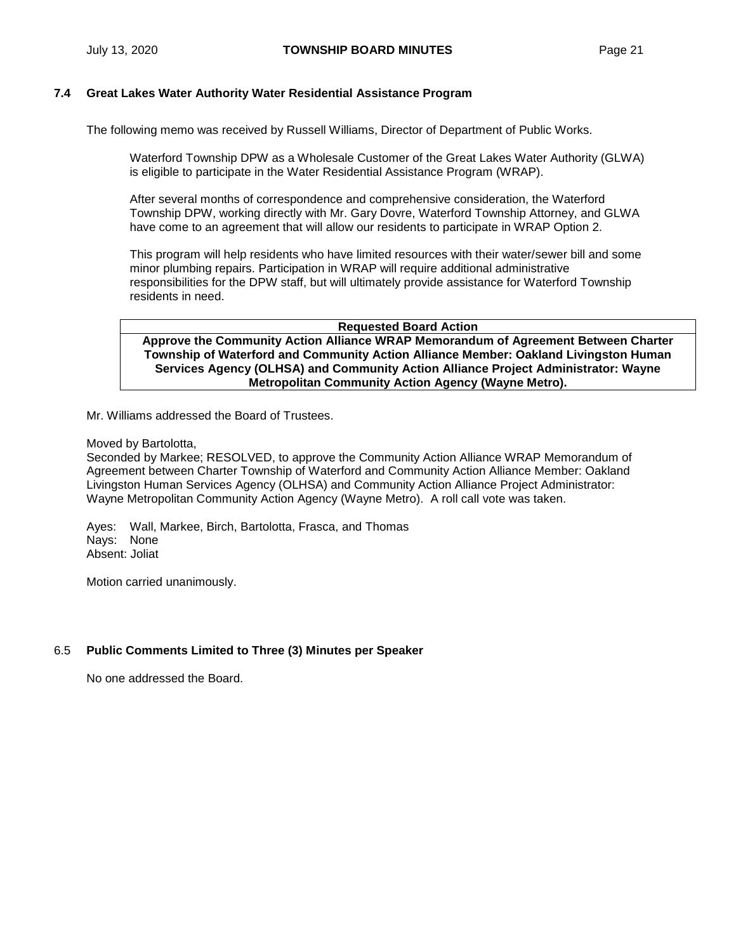## **7.4 Great Lakes Water Authority Water Residential Assistance Program**

The following memo was received by Russell Williams, Director of Department of Public Works.

Waterford Township DPW as a Wholesale Customer of the Great Lakes Water Authority (GLWA) is eligible to participate in the Water Residential Assistance Program (WRAP).

After several months of correspondence and comprehensive consideration, the Waterford Township DPW, working directly with Mr. Gary Dovre, Waterford Township Attorney, and GLWA have come to an agreement that will allow our residents to participate in WRAP Option 2.

This program will help residents who have limited resources with their water/sewer bill and some minor plumbing repairs. Participation in WRAP will require additional administrative responsibilities for the DPW staff, but will ultimately provide assistance for Waterford Township residents in need.

#### **Requested Board Action Approve the Community Action Alliance WRAP Memorandum of Agreement Between Charter Township of Waterford and Community Action Alliance Member: Oakland Livingston Human Services Agency (OLHSA) and Community Action Alliance Project Administrator: Wayne Metropolitan Community Action Agency (Wayne Metro).**

Mr. Williams addressed the Board of Trustees.

#### Moved by Bartolotta,

Seconded by Markee; RESOLVED, to approve the Community Action Alliance WRAP Memorandum of Agreement between Charter Township of Waterford and Community Action Alliance Member: Oakland Livingston Human Services Agency (OLHSA) and Community Action Alliance Project Administrator: Wayne Metropolitan Community Action Agency (Wayne Metro). A roll call vote was taken.

Ayes: Wall, Markee, Birch, Bartolotta, Frasca, and Thomas Nays: None Absent: Joliat

Motion carried unanimously.

## 6.5 **Public Comments Limited to Three (3) Minutes per Speaker**

No one addressed the Board.